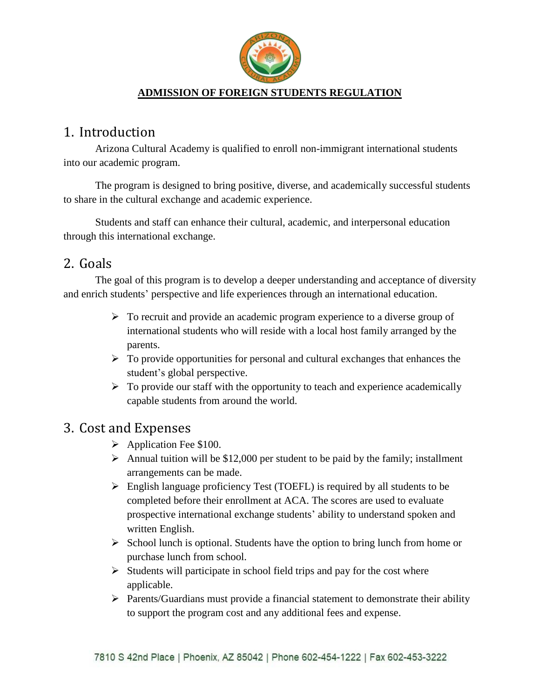

#### **ADMISSION OF FOREIGN STUDENTS REGULATION**

## 1. Introduction

Arizona Cultural Academy is qualified to enroll non-immigrant international students into our academic program.

The program is designed to bring positive, diverse, and academically successful students to share in the cultural exchange and academic experience.

Students and staff can enhance their cultural, academic, and interpersonal education through this international exchange.

#### 2. Goals

The goal of this program is to develop a deeper understanding and acceptance of diversity and enrich students' perspective and life experiences through an international education.

- $\triangleright$  To recruit and provide an academic program experience to a diverse group of international students who will reside with a local host family arranged by the parents.
- $\triangleright$  To provide opportunities for personal and cultural exchanges that enhances the student's global perspective.
- $\triangleright$  To provide our staff with the opportunity to teach and experience academically capable students from around the world.

### 3. Cost and Expenses

- ➢ Application Fee \$100.
- $\triangleright$  Annual tuition will be \$12,000 per student to be paid by the family; installment arrangements can be made.
- $\triangleright$  English language proficiency Test (TOEFL) is required by all students to be completed before their enrollment at ACA. The scores are used to evaluate prospective international exchange students' ability to understand spoken and written English.
- $\triangleright$  School lunch is optional. Students have the option to bring lunch from home or purchase lunch from school.
- $\triangleright$  Students will participate in school field trips and pay for the cost where applicable.
- ➢ Parents/Guardians must provide a financial statement to demonstrate their ability to support the program cost and any additional fees and expense.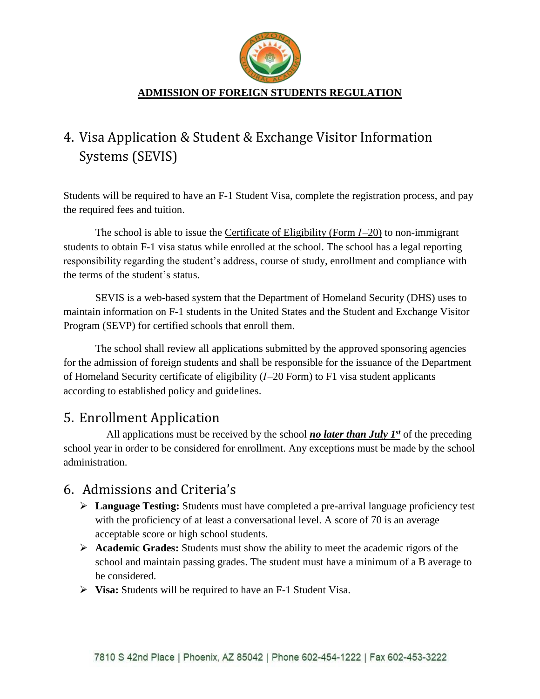

#### **ADMISSION OF FOREIGN STUDENTS REGULATION**

# 4. Visa Application & Student & Exchange Visitor Information Systems (SEVIS)

Students will be required to have an F-1 Student Visa, complete the registration process, and pay the required fees and tuition.

The school is able to issue the Certificate of Eligibility (Form  $I-20$ ) to non-immigrant students to obtain F-1 visa status while enrolled at the school. The school has a legal reporting responsibility regarding the student's address, course of study, enrollment and compliance with the terms of the student's status.

SEVIS is a web-based system that the Department of Homeland Security (DHS) uses to maintain information on F-1 students in the United States and the Student and Exchange Visitor Program (SEVP) for certified schools that enroll them.

The school shall review all applications submitted by the approved sponsoring agencies for the admission of foreign students and shall be responsible for the issuance of the Department of Homeland Security certificate of eligibility  $(I-20$  Form) to F1 visa student applicants according to established policy and guidelines.

### 5. Enrollment Application

All applications must be received by the school *no later than July 1st* of the preceding school year in order to be considered for enrollment. Any exceptions must be made by the school administration.

# 6. Admissions and Criteria's

- ➢ **Language Testing:** Students must have completed a pre-arrival language proficiency test with the proficiency of at least a conversational level. A score of 70 is an average acceptable score or high school students.
- ➢ **Academic Grades:** Students must show the ability to meet the academic rigors of the school and maintain passing grades. The student must have a minimum of a B average to be considered.
- ➢ **Visa:** Students will be required to have an F-1 Student Visa.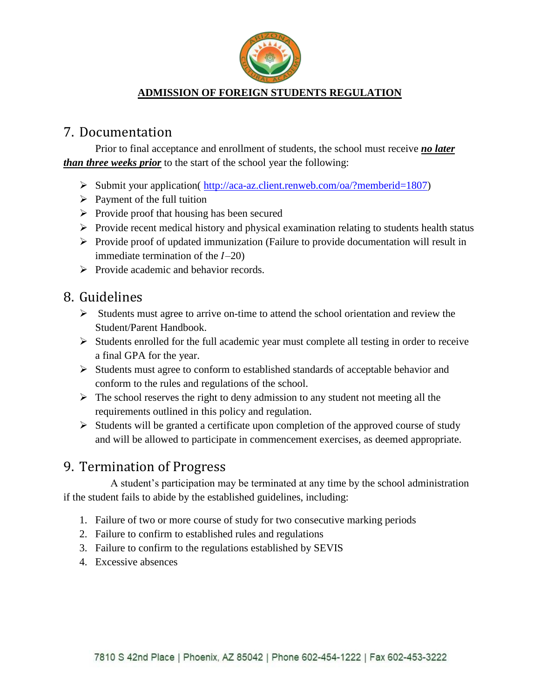

#### **ADMISSION OF FOREIGN STUDENTS REGULATION**

### 7. Documentation

Prior to final acceptance and enrollment of students, the school must receive *no later than three weeks prior* to the start of the school year the following:

- ➢ Submit your application( [http://aca-az.client.renweb.com/oa/?memberid=1807\)](http://aca-az.client.renweb.com/oa/?memberid=1807)
- $\triangleright$  Payment of the full tuition
- ➢ Provide proof that housing has been secured
- ➢ Provide recent medical history and physical examination relating to students health status
- ➢ Provide proof of updated immunization (Failure to provide documentation will result in immediate termination of the  $I-20$
- ➢ Provide academic and behavior records.

## 8. Guidelines

- ➢ Students must agree to arrive on-time to attend the school orientation and review the Student/Parent Handbook.
- $\triangleright$  Students enrolled for the full academic year must complete all testing in order to receive a final GPA for the year.
- ➢ Students must agree to conform to established standards of acceptable behavior and conform to the rules and regulations of the school.
- $\triangleright$  The school reserves the right to deny admission to any student not meeting all the requirements outlined in this policy and regulation.
- $\triangleright$  Students will be granted a certificate upon completion of the approved course of study and will be allowed to participate in commencement exercises, as deemed appropriate.

# 9. Termination of Progress

A student's participation may be terminated at any time by the school administration if the student fails to abide by the established guidelines, including:

- 1. Failure of two or more course of study for two consecutive marking periods
- 2. Failure to confirm to established rules and regulations
- 3. Failure to confirm to the regulations established by SEVIS
- 4. Excessive absences